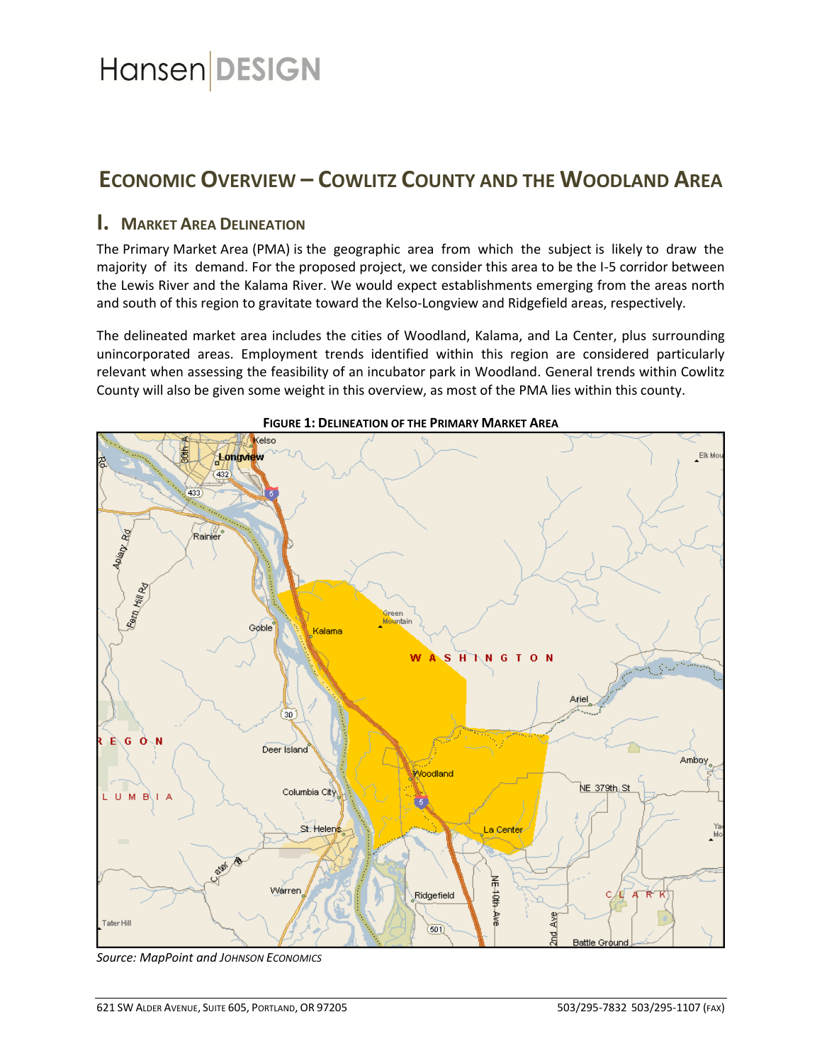### **ECONOMIC OVERVIEW – COWLITZ COUNTY AND THE WOODLAND AREA**

#### **I. MARKET AREA DELINEATION**

The Primary Market Area (PMA) is the geographic area from which the subject is likely to draw the majority of its demand. For the proposed project, we consider this area to be the I-5 corridor between the Lewis River and the Kalama River. We would expect establishments emerging from the areas north and south of this region to gravitate toward the Kelso-Longview and Ridgefield areas, respectively.

The delineated market area includes the cities of Woodland, Kalama, and La Center, plus surrounding unincorporated areas. Employment trends identified within this region are considered particularly relevant when assessing the feasibility of an incubator park in Woodland. General trends within Cowlitz County will also be given some weight in this overview, as most of the PMA lies within this county.



**FIGURE 1: DELINEATION OF THE PRIMARY MARKET AREA**

*Source: MapPoint and JOHNSON ECONOMICS*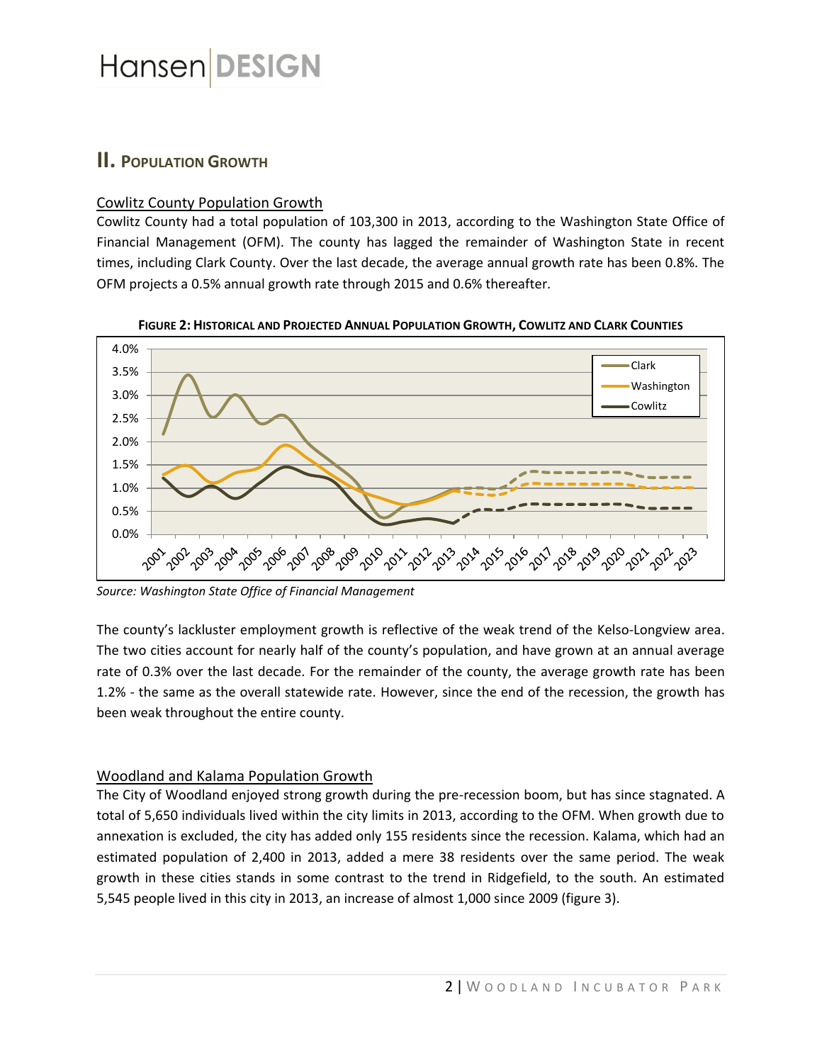#### **II. POPULATION GROWTH**

#### Cowlitz County Population Growth

Cowlitz County had a total population of 103,300 in 2013, according to the Washington State Office of Financial Management (OFM). The county has lagged the remainder of Washington State in recent times, including Clark County. Over the last decade, the average annual growth rate has been 0.8%. The OFM projects a 0.5% annual growth rate through 2015 and 0.6% thereafter.



FIGURE 2: HISTORICAL AND PROJECTED ANNUAL POPULATION GROWTH, COWLITZ AND CLARK COUNTIES

*Source: Washington State Office of Financial Management*

The county's lackluster employment growth is reflective of the weak trend of the Kelso-Longview area. The two cities account for nearly half of the county's population, and have grown at an annual average rate of 0.3% over the last decade. For the remainder of the county, the average growth rate has been 1.2% - the same as the overall statewide rate. However, since the end of the recession, the growth has been weak throughout the entire county.

#### Woodland and Kalama Population Growth

The City of Woodland enjoyed strong growth during the pre-recession boom, but has since stagnated. A total of 5,650 individuals lived within the city limits in 2013, according to the OFM. When growth due to annexation is excluded, the city has added only 155 residents since the recession. Kalama, which had an estimated population of 2,400 in 2013, added a mere 38 residents over the same period. The weak growth in these cities stands in some contrast to the trend in Ridgefield, to the south. An estimated 5,545 people lived in this city in 2013, an increase of almost 1,000 since 2009 (figure 3).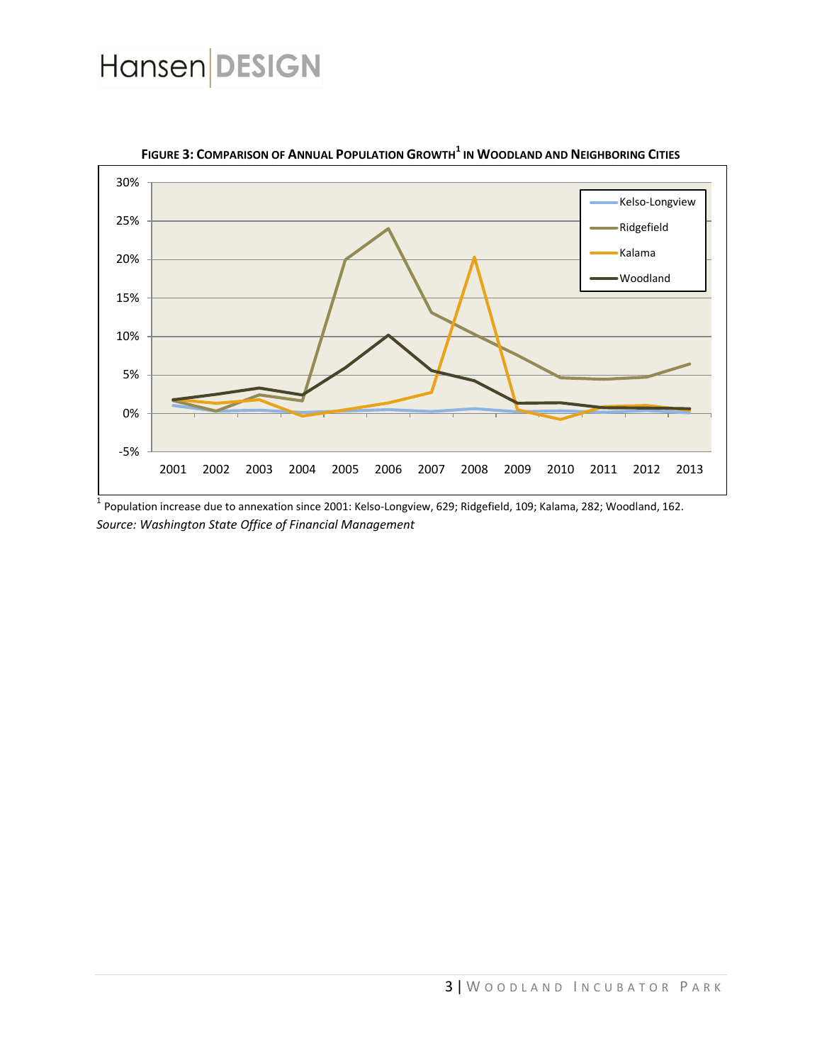

**FIGURE 3: COMPARISON OF ANNUAL POPULATION GROWTH<sup>1</sup> IN WOODLAND AND NEIGHBORING CITIES**

 $^1$  Population increase due to annexation since 2001: Kelso-Longview, 629; Ridgefield, 109; Kalama, 282; Woodland, 162. *Source: Washington State Office of Financial Management*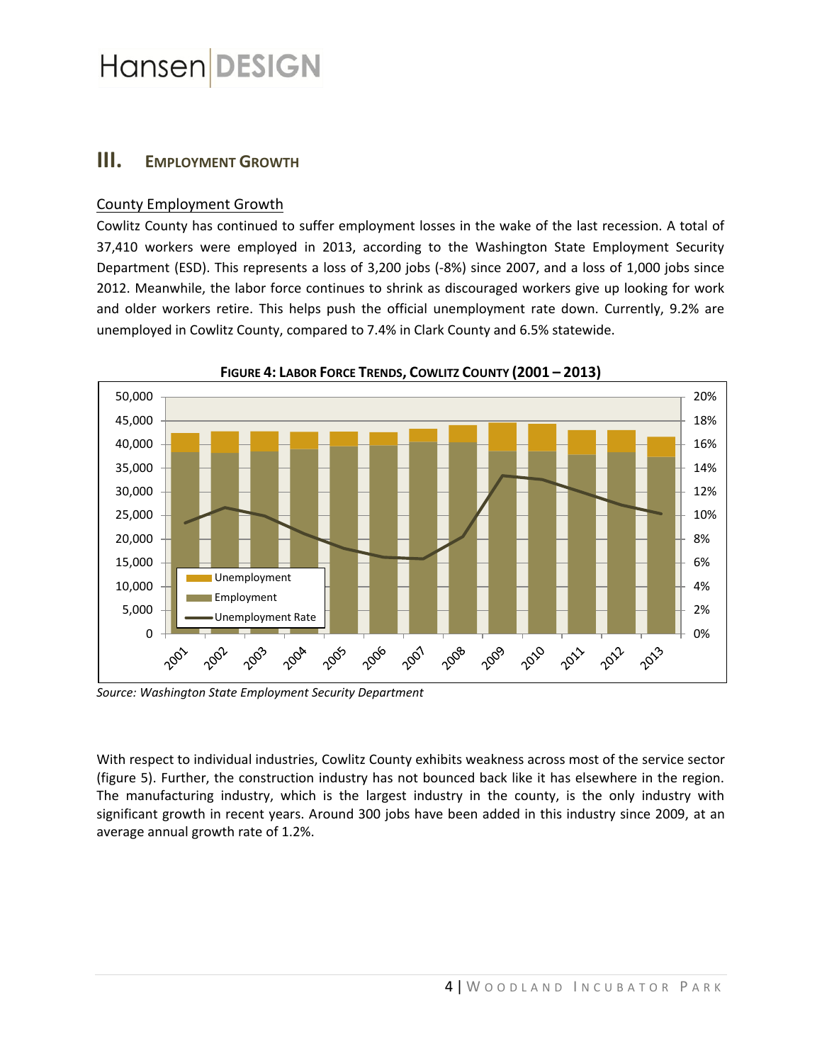#### **III. EMPLOYMENT GROWTH**

#### County Employment Growth

Cowlitz County has continued to suffer employment losses in the wake of the last recession. A total of 37,410 workers were employed in 2013, according to the Washington State Employment Security Department (ESD). This represents a loss of 3,200 jobs (-8%) since 2007, and a loss of 1,000 jobs since 2012. Meanwhile, the labor force continues to shrink as discouraged workers give up looking for work and older workers retire. This helps push the official unemployment rate down. Currently, 9.2% are unemployed in Cowlitz County, compared to 7.4% in Clark County and 6.5% statewide.



**FIGURE 4: LABOR FORCE TRENDS, COWLITZ COUNTY (2001 – 2013)**

*Source: Washington State Employment Security Department*

With respect to individual industries, Cowlitz County exhibits weakness across most of the service sector (figure 5). Further, the construction industry has not bounced back like it has elsewhere in the region. The manufacturing industry, which is the largest industry in the county, is the only industry with significant growth in recent years. Around 300 jobs have been added in this industry since 2009, at an average annual growth rate of 1.2%.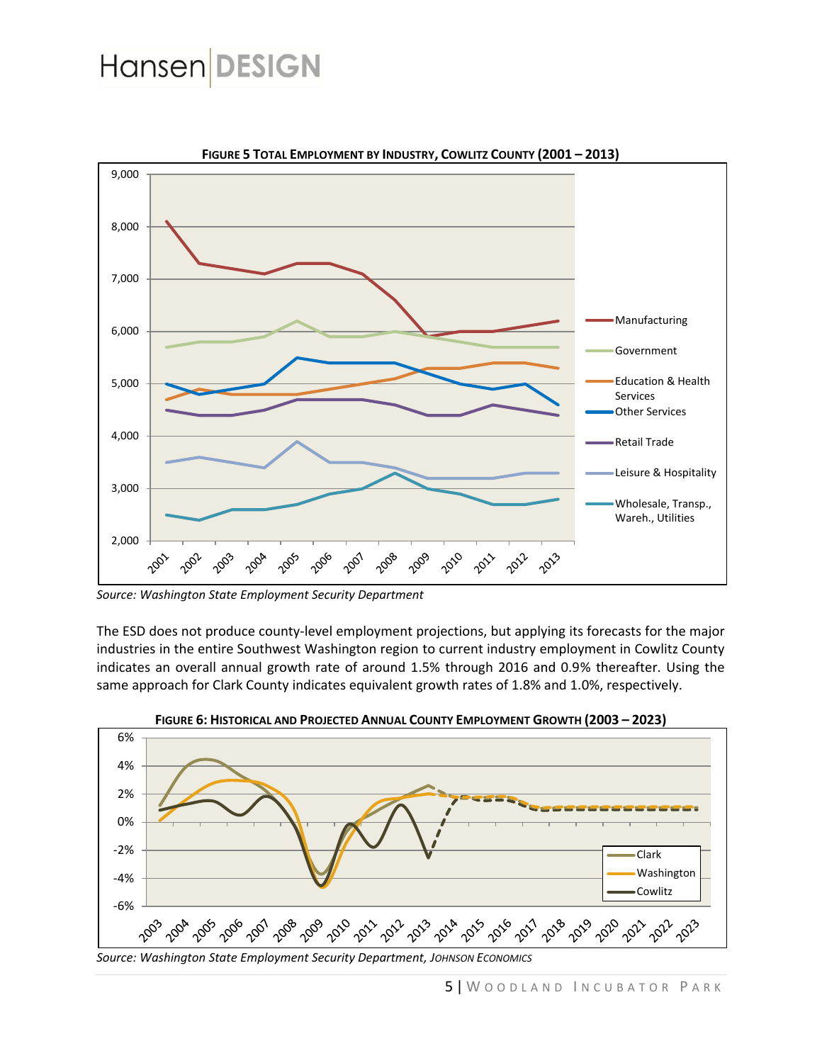

*Source: Washington State Employment Security Department*

The ESD does not produce county-level employment projections, but applying its forecasts for the major industries in the entire Southwest Washington region to current industry employment in Cowlitz County indicates an overall annual growth rate of around 1.5% through 2016 and 0.9% thereafter. Using the same approach for Clark County indicates equivalent growth rates of 1.8% and 1.0%, respectively.



**FIGURE 6: HISTORICAL AND PROJECTED ANNUAL COUNTY EMPLOYMENT GROWTH (2003 – 2023)**

*Source: Washington State Employment Security Department, JOHNSON ECONOMICS*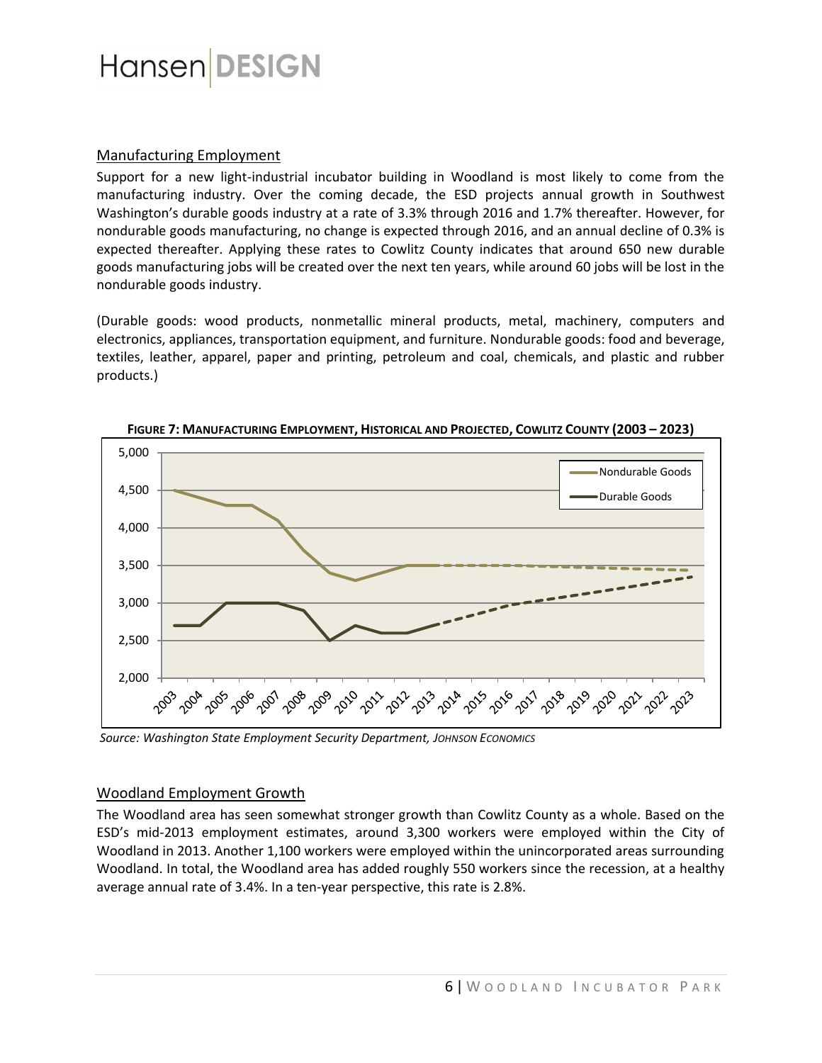#### Manufacturing Employment

Support for a new light-industrial incubator building in Woodland is most likely to come from the manufacturing industry. Over the coming decade, the ESD projects annual growth in Southwest Washington's durable goods industry at a rate of 3.3% through 2016 and 1.7% thereafter. However, for nondurable goods manufacturing, no change is expected through 2016, and an annual decline of 0.3% is expected thereafter. Applying these rates to Cowlitz County indicates that around 650 new durable goods manufacturing jobs will be created over the next ten years, while around 60 jobs will be lost in the nondurable goods industry.

(Durable goods: wood products, nonmetallic mineral products, metal, machinery, computers and electronics, appliances, transportation equipment, and furniture. Nondurable goods: food and beverage, textiles, leather, apparel, paper and printing, petroleum and coal, chemicals, and plastic and rubber products.)



FIGURE 7: MANUFACTURING EMPLOYMENT, HISTORICAL AND PROJECTED, COWLITZ COUNTY (2003 - 2023)

*Source: Washington State Employment Security Department, JOHNSON ECONOMICS*

#### Woodland Employment Growth

The Woodland area has seen somewhat stronger growth than Cowlitz County as a whole. Based on the ESD's mid-2013 employment estimates, around 3,300 workers were employed within the City of Woodland in 2013. Another 1,100 workers were employed within the unincorporated areas surrounding Woodland. In total, the Woodland area has added roughly 550 workers since the recession, at a healthy average annual rate of 3.4%. In a ten-year perspective, this rate is 2.8%.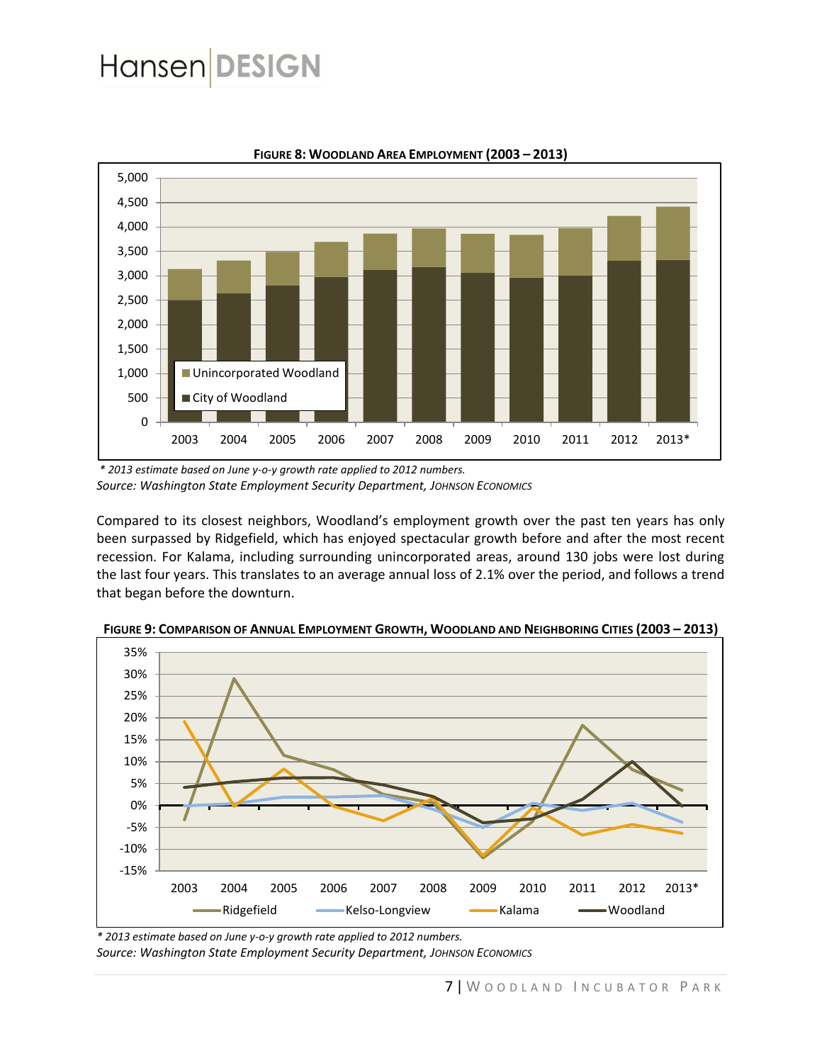

**FIGURE 8: WOODLAND AREA EMPLOYMENT (2003 – 2013)**

*\* 2013 estimate based on June y-o-y growth rate applied to 2012 numbers. Source: Washington State Employment Security Department, JOHNSON ECONOMICS*

Compared to its closest neighbors, Woodland's employment growth over the past ten years has only been surpassed by Ridgefield, which has enjoyed spectacular growth before and after the most recent recession. For Kalama, including surrounding unincorporated areas, around 130 jobs were lost during the last four years. This translates to an average annual loss of 2.1% over the period, and follows a trend that began before the downturn.



FIGURE 9: COMPARISON OF ANNUAL EMPLOYMENT GROWTH, WOODLAND AND NEIGHBORING CITIES (2003 - 2013)

*\* 2013 estimate based on June y-o-y growth rate applied to 2012 numbers.*

*Source: Washington State Employment Security Department, JOHNSON ECONOMICS*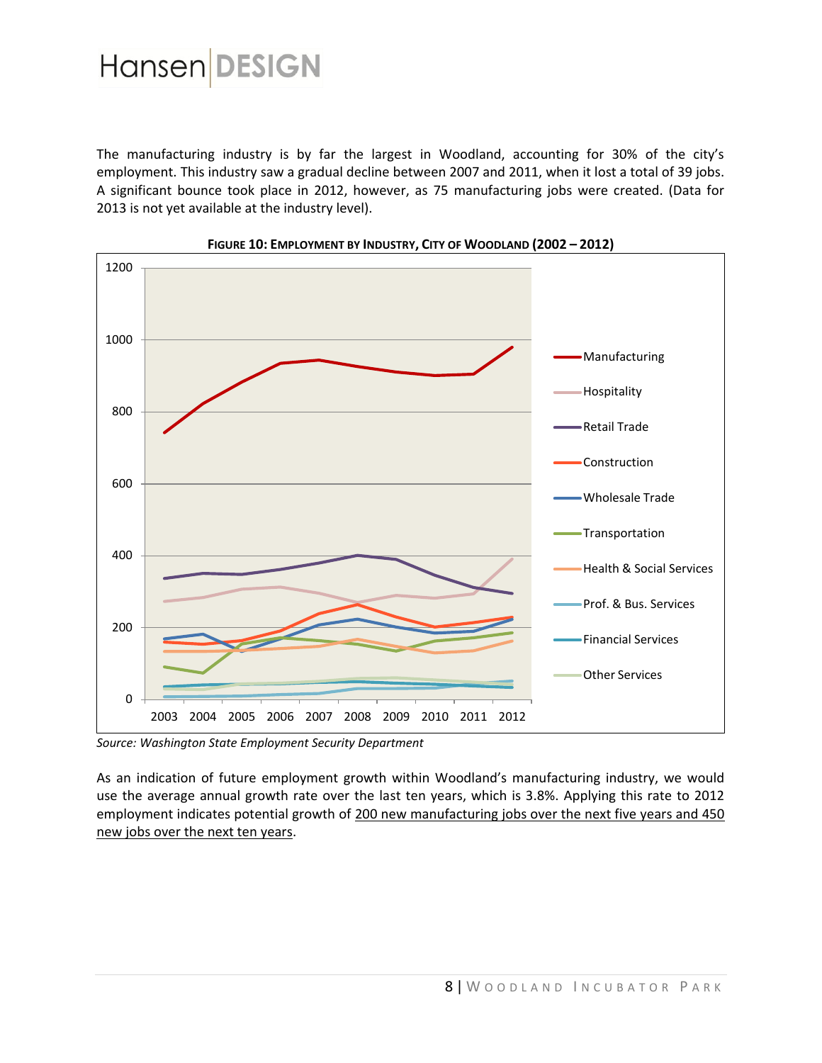The manufacturing industry is by far the largest in Woodland, accounting for 30% of the city's employment. This industry saw a gradual decline between 2007 and 2011, when it lost a total of 39 jobs. A significant bounce took place in 2012, however, as 75 manufacturing jobs were created. (Data for 2013 is not yet available at the industry level).



*Source: Washington State Employment Security Department*

As an indication of future employment growth within Woodland's manufacturing industry, we would use the average annual growth rate over the last ten years, which is 3.8%. Applying this rate to 2012 employment indicates potential growth of 200 new manufacturing jobs over the next five years and 450 new jobs over the next ten years.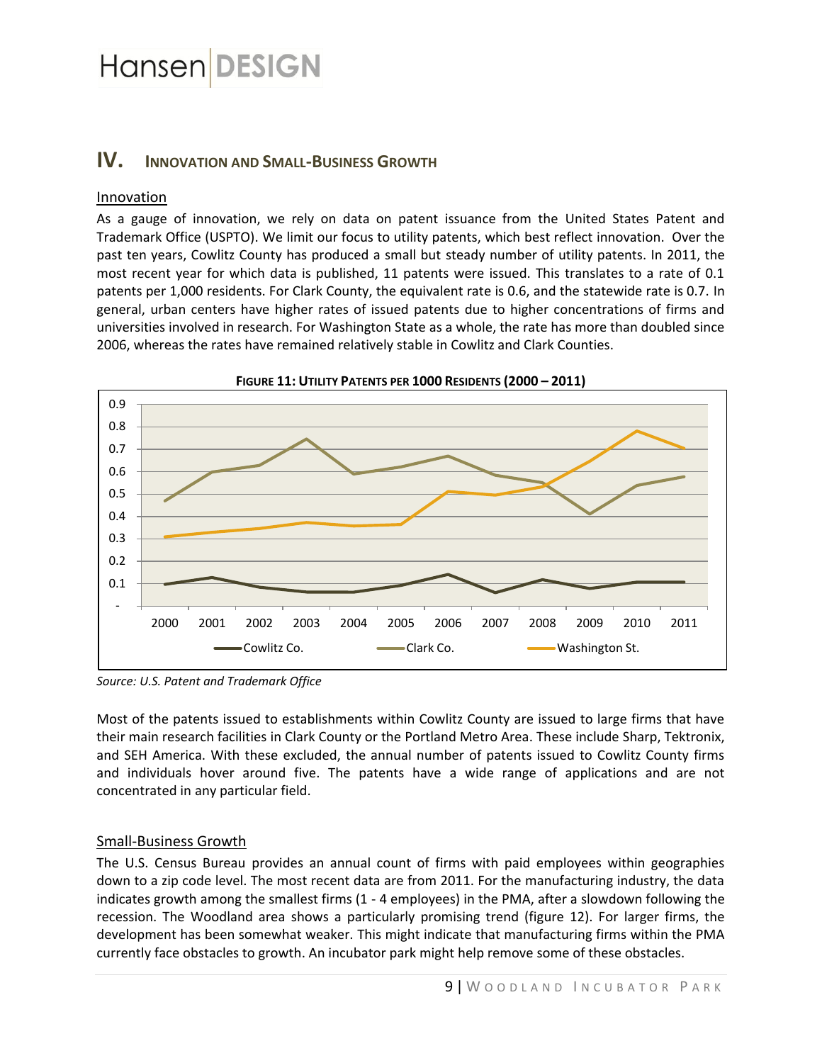#### **IV. INNOVATION AND SMALL-BUSINESS GROWTH**

#### Innovation

As a gauge of innovation, we rely on data on patent issuance from the United States Patent and Trademark Office (USPTO). We limit our focus to utility patents, which best reflect innovation. Over the past ten years, Cowlitz County has produced a small but steady number of utility patents. In 2011, the most recent year for which data is published, 11 patents were issued. This translates to a rate of 0.1 patents per 1,000 residents. For Clark County, the equivalent rate is 0.6, and the statewide rate is 0.7. In general, urban centers have higher rates of issued patents due to higher concentrations of firms and universities involved in research. For Washington State as a whole, the rate has more than doubled since 2006, whereas the rates have remained relatively stable in Cowlitz and Clark Counties.



*Source: U.S. Patent and Trademark Office*

Most of the patents issued to establishments within Cowlitz County are issued to large firms that have their main research facilities in Clark County or the Portland Metro Area. These include Sharp, Tektronix, and SEH America. With these excluded, the annual number of patents issued to Cowlitz County firms and individuals hover around five. The patents have a wide range of applications and are not concentrated in any particular field.

#### Small-Business Growth

The U.S. Census Bureau provides an annual count of firms with paid employees within geographies down to a zip code level. The most recent data are from 2011. For the manufacturing industry, the data indicates growth among the smallest firms (1 - 4 employees) in the PMA, after a slowdown following the recession. The Woodland area shows a particularly promising trend (figure 12). For larger firms, the development has been somewhat weaker. This might indicate that manufacturing firms within the PMA currently face obstacles to growth. An incubator park might help remove some of these obstacles.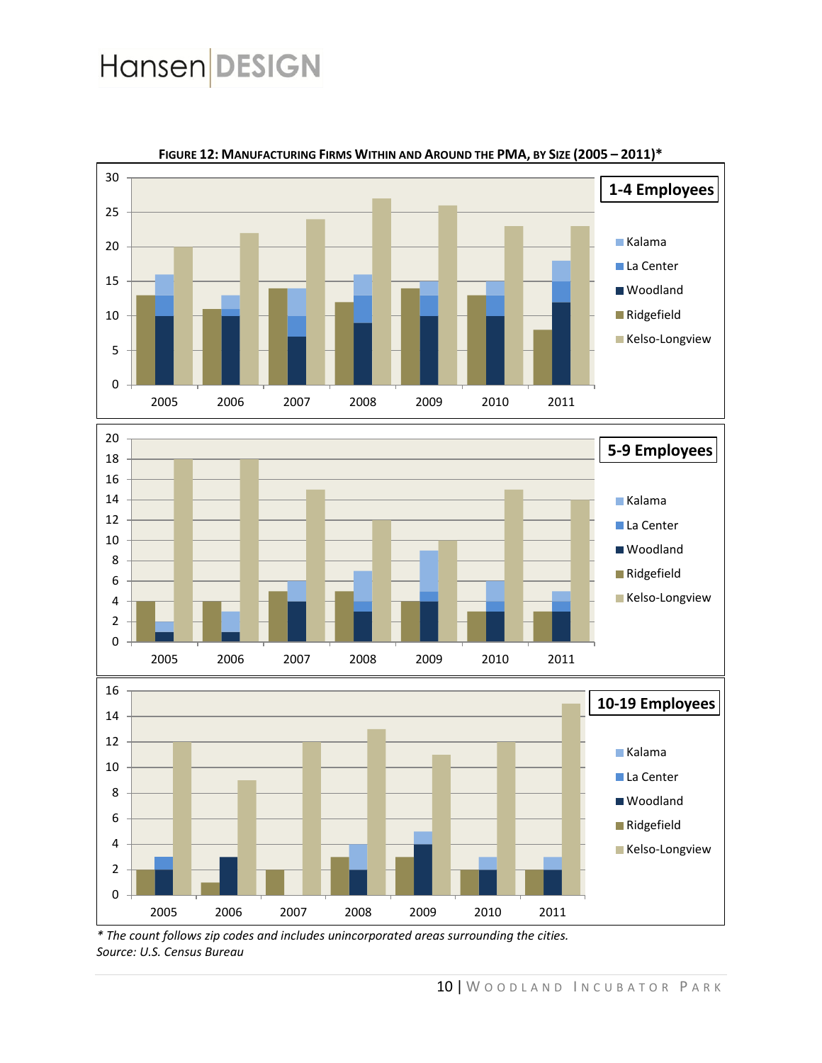

**FIGURE 12: MANUFACTURING FIRMS WITHIN AND AROUND THE PMA, BY SIZE (2005 – 2011)\***

*\* The count follows zip codes and includes unincorporated areas surrounding the cities. Source: U.S. Census Bureau*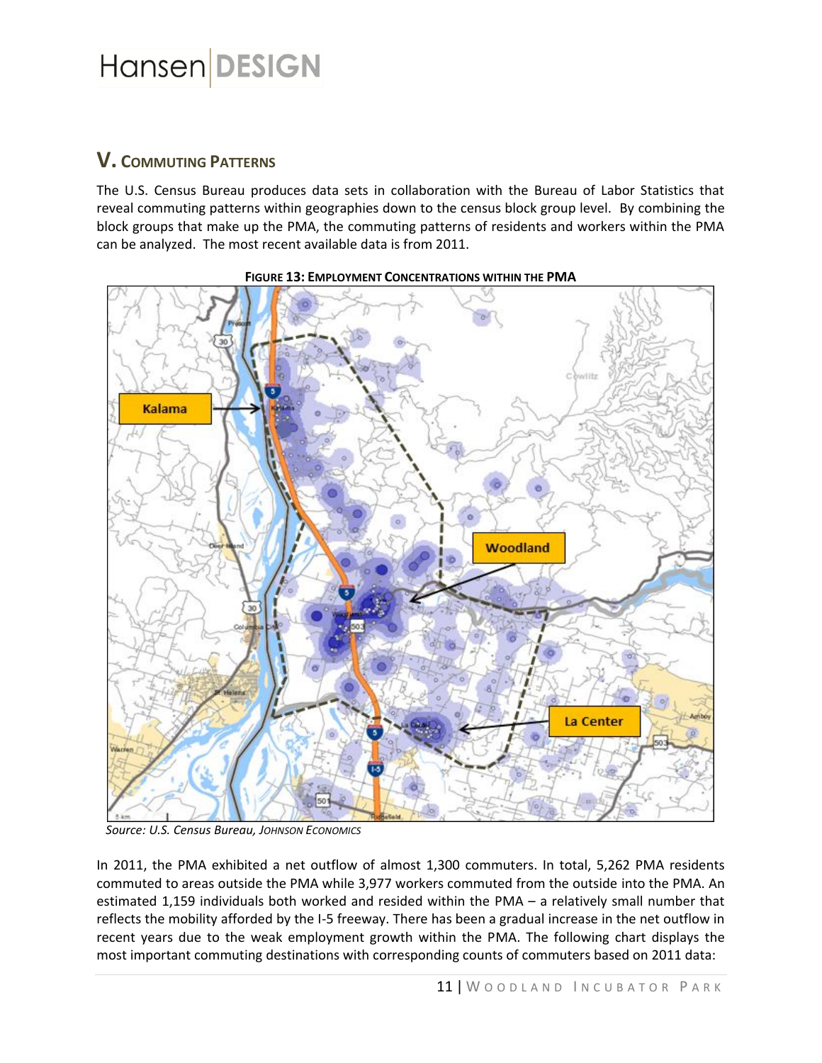#### **V. COMMUTING PATTERNS**

The U.S. Census Bureau produces data sets in collaboration with the Bureau of Labor Statistics that reveal commuting patterns within geographies down to the census block group level. By combining the block groups that make up the PMA, the commuting patterns of residents and workers within the PMA can be analyzed. The most recent available data is from 2011.



**FIGURE 13: EMPLOYMENT CONCENTRATIONS WITHIN THE PMA**

 *Source: U.S. Census Bureau, JOHNSON ECONOMICS*

In 2011, the PMA exhibited a net outflow of almost 1,300 commuters. In total, 5,262 PMA residents commuted to areas outside the PMA while 3,977 workers commuted from the outside into the PMA. An estimated 1,159 individuals both worked and resided within the PMA – a relatively small number that reflects the mobility afforded by the I-5 freeway. There has been a gradual increase in the net outflow in recent years due to the weak employment growth within the PMA. The following chart displays the most important commuting destinations with corresponding counts of commuters based on 2011 data: